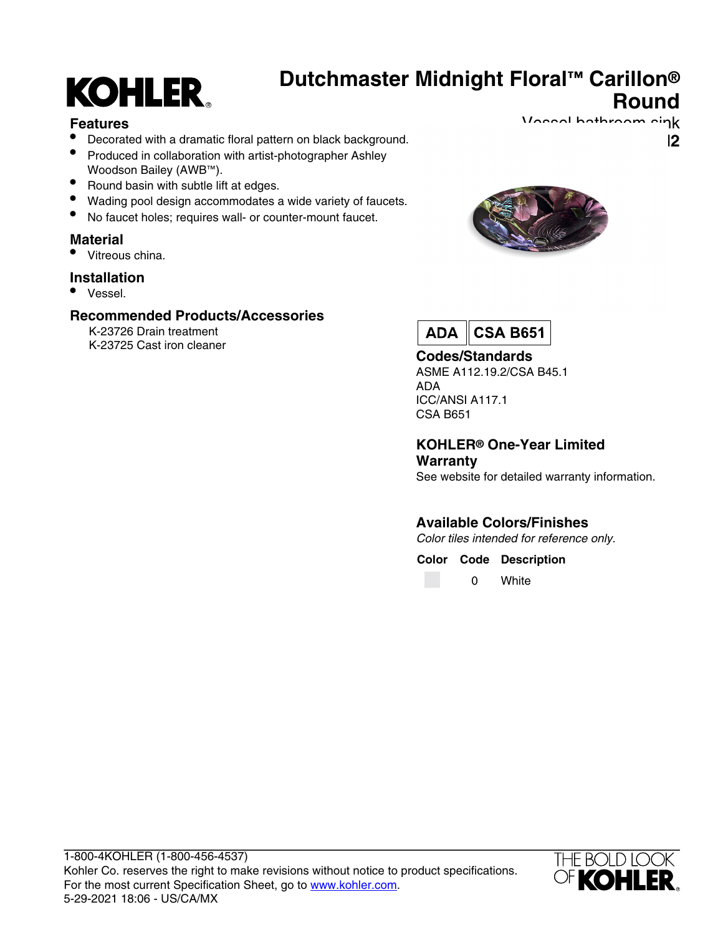# **KOHLER**

# **Dutchmaster Midnight Floral™ Carillon® Round**

#### **Features**

- Decorated with a dramatic floral pattern on black background.
- Produced in collaboration with artist-photographer Ashley Woodson Bailey (AWB™).
- Round basin with subtle lift at edges.
- Wading pool design accommodates a wide variety of faucets.
- No faucet holes; requires wall- or counter-mount faucet.

#### **Material**

• Vitreous china.

#### **Installation**

• Vessel.

#### **Recommended Products/Accessories**

K-23726 Drain treatment K-23725 Cast iron cleaner



Vossel bathroom sink

**K-3033-DM2** 



#### **Codes/Standards**

ASME A112.19.2/CSA B45.1 ADA ICC/ANSI A117.1 CSA B651

#### **KOHLER® One-Year Limited Warranty**

See website for detailed warranty information.

### **Available Colors/Finishes**

Color tiles intended for reference only.

#### **Color Code Description**

0 White